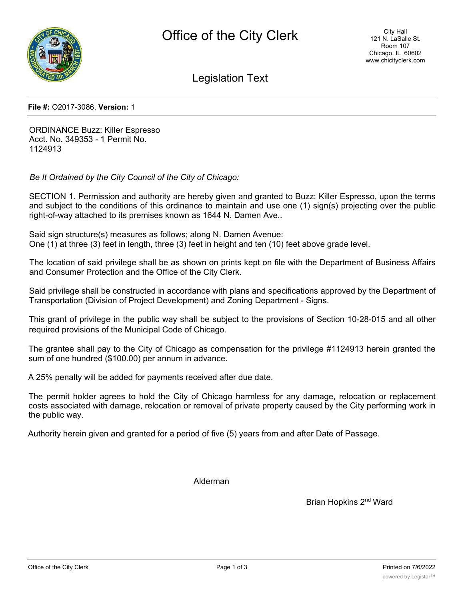

Legislation Text

**File #:** O2017-3086, **Version:** 1

ORDINANCE Buzz: Killer Espresso Acct. No. 349353 - 1 Permit No. 1124913

*Be It Ordained by the City Council of the City of Chicago:*

SECTION 1. Permission and authority are hereby given and granted to Buzz: Killer Espresso, upon the terms and subject to the conditions of this ordinance to maintain and use one (1) sign(s) projecting over the public right-of-way attached to its premises known as 1644 N. Damen Ave..

Said sign structure(s) measures as follows; along N. Damen Avenue: One (1) at three (3) feet in length, three (3) feet in height and ten (10) feet above grade level.

The location of said privilege shall be as shown on prints kept on file with the Department of Business Affairs and Consumer Protection and the Office of the City Clerk.

Said privilege shall be constructed in accordance with plans and specifications approved by the Department of Transportation (Division of Project Development) and Zoning Department - Signs.

This grant of privilege in the public way shall be subject to the provisions of Section 10-28-015 and all other required provisions of the Municipal Code of Chicago.

The grantee shall pay to the City of Chicago as compensation for the privilege #1124913 herein granted the sum of one hundred (\$100.00) per annum in advance.

A 25% penalty will be added for payments received after due date.

The permit holder agrees to hold the City of Chicago harmless for any damage, relocation or replacement costs associated with damage, relocation or removal of private property caused by the City performing work in the public way.

Authority herein given and granted for a period of five (5) years from and after Date of Passage.

Alderman

Brian Hopkins 2nd Ward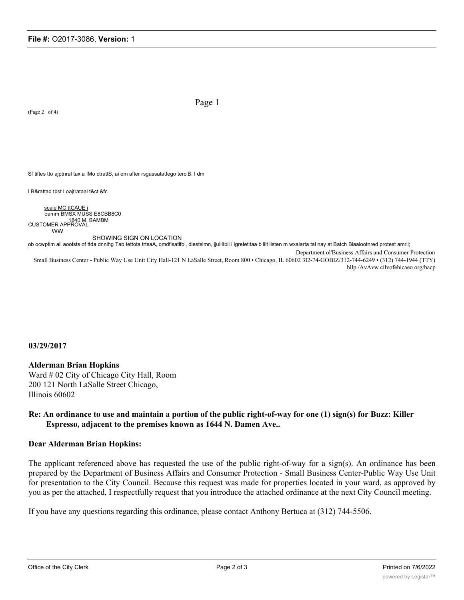(Page 2 of 4)

Page 1

Sf tiftes tto ajptnral tax a IMo ctrattS, ai em after rsgassatatfego terciB. I dm

I B&rattad tbst I oajtrataal t&ct &fc

scale MC ttCAUE i oamm BMSX MUSS E8CBB8C0 1840 M. BAMBM<br>CUSTOMER APPROVAL WW SHOWING SIGN ON LOCATION

ob ocwptlm all aootsts of ttda dnnihg Tab tettota trtsaA, qmdflsatlfoi, dlestslmn, jjuHIbii i igretetltaa b lilt listen m wxalarta tal nay at Batch Biaalootnred protest amril;

Department ol'Business Affairs and Consumer Protection Small Business Center - Public Way Use Unit City Hall-121 N LaSalle Street, Room 800 • Chicago, IL 60602 3I2-74-GOBIZ/312-744-6249 • (312) 744-1944 (TTY) hllp /AvAvw cilvofehicaeo org/bacp

**03/29/2017**

## **Alderman Brian Hopkins**

Ward # 02 City of Chicago City Hall, Room 200 121 North LaSalle Street Chicago, Illinois 60602

## **Re: An ordinance to use and maintain a portion of the public right-of-way for one (1) sign(s) for Buzz: Killer Espresso, adjacent to the premises known as 1644 N. Damen Ave..**

## **Dear Alderman Brian Hopkins:**

The applicant referenced above has requested the use of the public right-of-way for a sign(s). An ordinance has been prepared by the Department of Business Affairs and Consumer Protection - Small Business Center-Public Way Use Unit for presentation to the City Council. Because this request was made for properties located in your ward, as approved by you as per the attached, I respectfully request that you introduce the attached ordinance at the next City Council meeting.

If you have any questions regarding this ordinance, please contact Anthony Bertuca at (312) 744-5506.